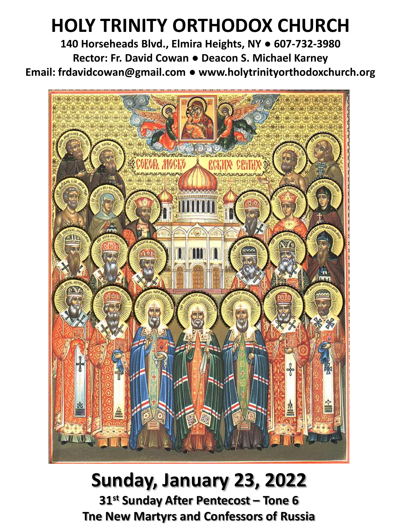## **HOLY TRINITY ORTHODOX CHURCH**

**140 Horseheads Blvd., Elmira Heights, NY ● 607-732-3980 Rector: Fr. David Cowan ● Deacon S. Michael Karney Email: frdavidcowan@gmail.com ● www.holytrinityorthodoxchurch.org**



# **Sunday, January 23, 2022**

**31st Sunday After Pentecost – Tone 6 Tne New Martyrs and Confessors of Russia**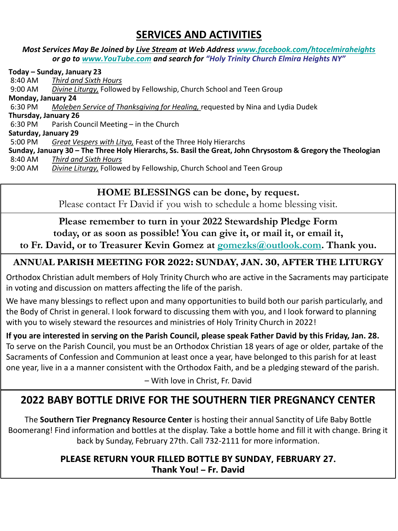## **SERVICES AND ACTIVITIES**

#### *Most Services May Be Joined by Live Stream at Web Address [www.facebook.com/htocelmiraheights](http://www.facebook.com/htocelmiraheights) or go to [www.YouTube.com](http://www.youtube.com/) and search for "Holy Trinity Church Elmira Heights NY"*

**Today – Sunday, January 23** 8:40 AM *Third and Sixth Hours* 9:00 AM *Divine Liturgy,* Followed by Fellowship, Church School and Teen Group **Monday, January 24** 6:30 PM *Moleben Service of Thanksgiving for Healing,* requested by Nina and Lydia Dudek **Thursday, January 26** 6:30 PM Parish Council Meeting – in the Church **Saturday, January 29**  5:00 PM *Great Vespers with Litya,* Feast of the Three Holy Hierarchs **Sunday, January 30 – The Three Holy Hierarchs, Ss. Basil the Great, John Chrysostom & Gregory the Theologian** 8:40 AM *Third and Sixth Hours* 9:00 AM *Divine Liturgy,* Followed by Fellowship, Church School and Teen Group

#### **HOME BLESSINGS can be done, by request.**

Please contact Fr David if you wish to schedule a home blessing visit.

## **Please remember to turn in your 2022 Stewardship Pledge Form**

## **today, or as soon as possible! You can give it, or mail it, or email it,**

**to Fr. David, or to Treasurer Kevin Gomez at [gomezks@outlook.com.](mailto:gomezks@outlook.com) Thank you.**

#### **ANNUAL PARISH MEETING FOR 2022: SUNDAY, JAN. 30, AFTER THE LITURGY**

Orthodox Christian adult members of Holy Trinity Church who are active in the Sacraments may participate in voting and discussion on matters affecting the life of the parish.

We have many blessings to reflect upon and many opportunities to build both our parish particularly, and the Body of Christ in general. I look forward to discussing them with you, and I look forward to planning with you to wisely steward the resources and ministries of Holy Trinity Church in 2022!

**If you are interested in serving on the Parish Council, please speak Father David by this Friday, Jan. 28.** To serve on the Parish Council, you must be an Orthodox Christian 18 years of age or older, partake of the Sacraments of Confession and Communion at least once a year, have belonged to this parish for at least one year, live in a a manner consistent with the Orthodox Faith, and be a pledging steward of the parish.

– With love in Christ, Fr. David

## **2022 BABY BOTTLE DRIVE FOR THE SOUTHERN TIER PREGNANCY CENTER**

The **Southern Tier Pregnancy Resource Center** is hosting their annual Sanctity of Life Baby Bottle Boomerang! Find information and bottles at the display. Take a bottle home and fill it with change. Bring it back by Sunday, February 27th. Call 732-2111 for more information.

#### **PLEASE RETURN YOUR FILLED BOTTLE BY SUNDAY, FEBRUARY 27. Thank You! – Fr. David**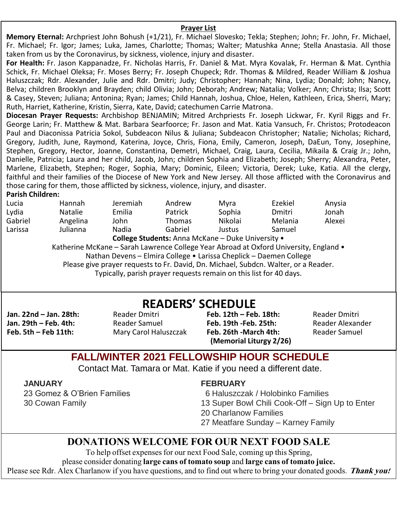#### **Prayer List**

**Memory Eternal:** Archpriest John Bohush (+1/21), Fr. Michael Slovesko; Tekla; Stephen; John; Fr. John, Fr. Michael, Fr. Michael; Fr. Igor; James; Luka, James, Charlotte; Thomas; Walter; Matushka Anne; Stella Anastasia. All those taken from us by the Coronavirus, by sickness, violence, injury and disaster.

**For Health:** Fr. Jason Kappanadze, Fr. Nicholas Harris, Fr. Daniel & Mat. Myra Kovalak, Fr. Herman & Mat. Cynthia Schick, Fr. Michael Oleksa; Fr. Moses Berry; Fr. Joseph Chupeck; Rdr. Thomas & Mildred, Reader William & Joshua Haluszczak; Rdr. Alexander, Julie and Rdr. Dmitri; Judy; Christopher; Hannah; Nina, Lydia; Donald; John; Nancy, Belva; children Brooklyn and Brayden; child Olivia; John; Deborah; Andrew; Natalia; Volker; Ann; Christa; Ilsa; Scott & Casey, Steven; Juliana; Antonina; Ryan; James; Child Hannah, Joshua, Chloe, Helen, Kathleen, Erica, Sherri, Mary; Ruth, Harriet, Katherine, Kristin, Sierra, Kate, David; catechumen Carrie Matrona.

**Diocesan Prayer Requests:** Archbishop BENJAMIN; Mitred Archpriests Fr. Joseph Lickwar, Fr. Kyril Riggs and Fr. George Larin; Fr. Matthew & Mat. Barbara Searfoorce; Fr. Jason and Mat. Katia Vansuch, Fr. Christos; Protodeacon Paul and Diaconissa Patricia Sokol, Subdeacon Nilus & Juliana; Subdeacon Christopher; Natalie; Nicholas; Richard, Gregory, Judith, June, Raymond, Katerina, Joyce, Chris, Fiona, Emily, Cameron, Joseph, DaEun, Tony, Josephine, Stephen, Gregory, Hector, Joanne, Constantina, Demetri, Michael, Craig, Laura, Cecilia, Mikaila & Craig Jr.; John, Danielle, Patricia; Laura and her child, Jacob, John; children Sophia and Elizabeth; Joseph; Sherry; Alexandra, Peter, Marlene, Elizabeth, Stephen; Roger, Sophia, Mary; Dominic, Eileen; Victoria, Derek; Luke, Katia. All the clergy, faithful and their families of the Diocese of New York and New Jersey. All those afflicted with the Coronavirus and those caring for them, those afflicted by sickness, violence, injury, and disaster.

#### **Parish Children:**

| Lucia                                                                                 | <b>Hannah</b>  | Jeremiah                                                                            | Andrew        | Mvra    | Ezekiel | Anysia |  |
|---------------------------------------------------------------------------------------|----------------|-------------------------------------------------------------------------------------|---------------|---------|---------|--------|--|
| Lydia                                                                                 | <b>Natalie</b> | Emilia                                                                              | Patrick       | Sophia  | Dmitri  | Jonah  |  |
| Gabriel                                                                               | Angelina       | John                                                                                | <b>Thomas</b> | Nikolai | Melania | Alexei |  |
| Larissa                                                                               | Julianna       | Nadia                                                                               | Gabriel       | Justus  | Samuel  |        |  |
| College Students: Anna McKane - Duke University .                                     |                |                                                                                     |               |         |         |        |  |
| Katherine McKane - Sarah Lawrence College Year Abroad at Oxford University, England . |                |                                                                                     |               |         |         |        |  |
| Nathan Devens - Elmira College • Larissa Cheplick - Daemen College                    |                |                                                                                     |               |         |         |        |  |
|                                                                                       |                | Please give prayer requests to Fr. David, Dn. Michael, Subdcn. Walter, or a Reader. |               |         |         |        |  |
| Tunically parich prover requests remain on this list for 40 days                      |                |                                                                                     |               |         |         |        |  |

#### Typically, parish prayer requests remain on this list for 40 days.

**Jan. 22nd – Jan. 28th:** Reader Dmitri **Jan. 29th – Feb. 4th:** Reader Samuel

**Feb. 5th – Feb 11th:** Mary Carol Haluszczak

#### **Feb. 12th – Feb. 18th:** Reader Dmitri **Feb. 19th -Feb. 25th: Feb. 26th -March 4th:** Reader Samuel **(Memorial Liturgy 2/26) READERS' SCHEDULE**

## **FALL/WINTER 2021 FELLOWSHIP HOUR SCHEDULE**

Contact Mat. Tamara or Mat. Katie if you need a different date.

**JANUARY**

23 Gomez & O'Brien Families 30 Cowan Family

#### **FEBRUARY**

6 Haluszczak / Holobinko Families

- 13 Super Bowl Chili Cook-Off Sign Up to Enter
- 20 Charlanow Families
- 27 Meatfare Sunday Karney Family

#### **DONATIONS WELCOME FOR OUR NEXT FOOD SALE**

To help offset expenses for our next Food Sale, coming up this Spring,

please consider donating **large cans of tomato soup** and **large cans of tomato juice.**

Please see Rdr. Alex Charlanow if you have questions, and to find out where to bring your donated goods. **Thank you!**